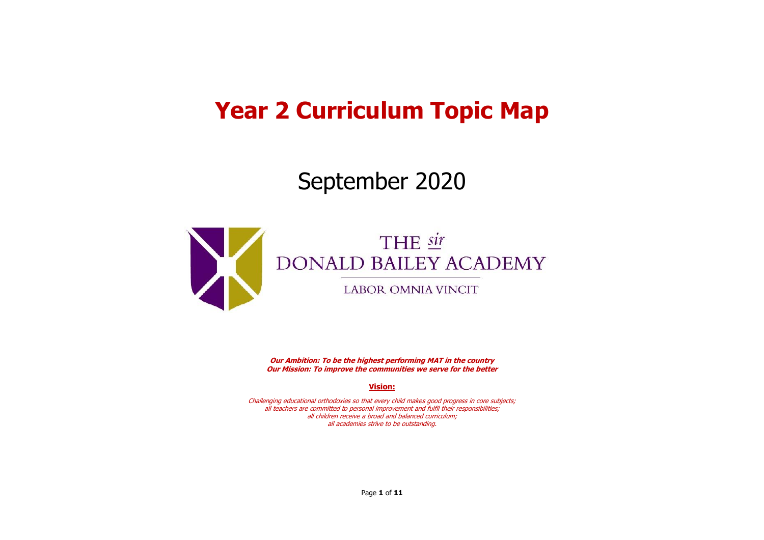## **Year 2 Curriculum Topic Map**

## September 2020



**Our Ambition: To be the highest performing MAT in the country Our Mission: To improve the communities we serve for the better**

**Vision:**

Challenging educational orthodoxies so that every child makes good progress in core subjects; all teachers are committed to personal improvement and fulfil their responsibilities; all children receive a broad and balanced curriculum; all academies strive to be outstanding.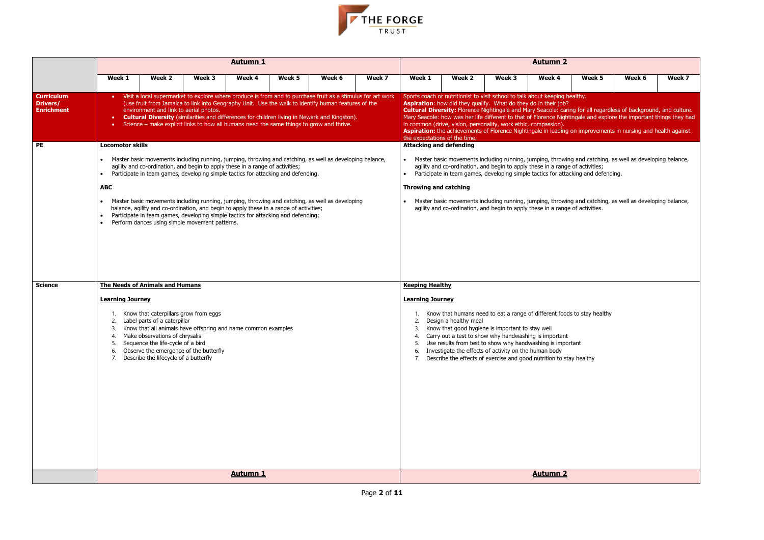| Week 5                           | Week 6                                                                                          | Week 7 |
|----------------------------------|-------------------------------------------------------------------------------------------------|--------|
| thy.                             |                                                                                                 |        |
|                                  | for all regardless of background, and culture.<br>ale and explore the important things they had |        |
|                                  | improvements in nursing and health against                                                      |        |
| activities;<br>ng and defending. | and catching, as well as developing balance,                                                    |        |
| <sup>a</sup> activities.         | and catching, as well as developing balance,                                                    |        |
|                                  |                                                                                                 |        |
|                                  |                                                                                                 |        |
|                                  |                                                                                                 |        |
|                                  |                                                                                                 |        |
|                                  |                                                                                                 |        |
| o stay healthy                   |                                                                                                 |        |
|                                  |                                                                                                 |        |
| ٦t                               |                                                                                                 |        |
| healthy                          |                                                                                                 |        |
|                                  |                                                                                                 |        |
|                                  |                                                                                                 |        |
|                                  |                                                                                                 |        |
|                                  |                                                                                                 |        |
|                                  |                                                                                                 |        |
|                                  |                                                                                                 |        |
|                                  |                                                                                                 |        |
|                                  |                                                                                                 |        |



|                                                    |                                        |                                                                                                                                                                                       |                                                                                                                                                                                                                               | <b>Autumn 1</b> |        |                                                                                                                                                                                                                                                                                                                       |        | <b>Autumn 2</b>                |                                                                                                                                                                                                                                                                                                                                     |        |                 |                                                                                                                                                                                                                                                                                                                                                         |        |        |  |  |
|----------------------------------------------------|----------------------------------------|---------------------------------------------------------------------------------------------------------------------------------------------------------------------------------------|-------------------------------------------------------------------------------------------------------------------------------------------------------------------------------------------------------------------------------|-----------------|--------|-----------------------------------------------------------------------------------------------------------------------------------------------------------------------------------------------------------------------------------------------------------------------------------------------------------------------|--------|--------------------------------|-------------------------------------------------------------------------------------------------------------------------------------------------------------------------------------------------------------------------------------------------------------------------------------------------------------------------------------|--------|-----------------|---------------------------------------------------------------------------------------------------------------------------------------------------------------------------------------------------------------------------------------------------------------------------------------------------------------------------------------------------------|--------|--------|--|--|
|                                                    | Week 1                                 | Week 2                                                                                                                                                                                | Week 3                                                                                                                                                                                                                        | Week 4          | Week 5 | Week 6                                                                                                                                                                                                                                                                                                                | Week 7 | Week 1                         | Week 2                                                                                                                                                                                                                                                                                                                              | Week 3 | Week 4          | Week 5                                                                                                                                                                                                                                                                                                                                                  | Week 6 | Week 7 |  |  |
| <b>Curriculum</b><br>Drivers/<br><b>Enrichment</b> | $\bullet$ .                            | environment and link to aerial photos.                                                                                                                                                | • Science – make explicit links to how all humans need the same things to grow and thrive.                                                                                                                                    |                 |        | Visit a local supermarket to explore where produce is from and to purchase fruit as a stimulus for art work<br>(use fruit from Jamaica to link into Geography Unit. Use the walk to identify human features of the<br>• Cultural Diversity (similarities and differences for children living in Newark and Kingston). |        | the expectations of the time.  | Sports coach or nutritionist to visit school to talk about keeping healthy.<br>Aspiration: how did they qualify. What do they do in their job?<br>in common (drive, vision, personality, work ethic, compassion).                                                                                                                   |        |                 | Cultural Diversity: Florence Nightingale and Mary Seacole: caring for all regardless of background, and culture.<br>Mary Seacole: how was her life different to that of Florence Nightingale and explore the important things they had<br>Aspiration: the achievements of Florence Nightingale in leading on improvements in nursing and health against |        |        |  |  |
| PE                                                 | <b>Locomotor skills</b>                |                                                                                                                                                                                       |                                                                                                                                                                                                                               |                 |        |                                                                                                                                                                                                                                                                                                                       |        | <b>Attacking and defending</b> |                                                                                                                                                                                                                                                                                                                                     |        |                 |                                                                                                                                                                                                                                                                                                                                                         |        |        |  |  |
|                                                    |                                        |                                                                                                                                                                                       | agility and co-ordination, and begin to apply these in a range of activities;<br>Participate in team games, developing simple tactics for attacking and defending.                                                            |                 |        | Master basic movements including running, jumping, throwing and catching, as well as developing balance,                                                                                                                                                                                                              |        |                                | agility and co-ordination, and begin to apply these in a range of activities;                                                                                                                                                                                                                                                       |        |                 | Master basic movements including running, jumping, throwing and catching, as well as developing balance,<br>Participate in team games, developing simple tactics for attacking and defending.                                                                                                                                                           |        |        |  |  |
|                                                    | <b>ABC</b>                             |                                                                                                                                                                                       |                                                                                                                                                                                                                               |                 |        |                                                                                                                                                                                                                                                                                                                       |        | <b>Throwing and catching</b>   |                                                                                                                                                                                                                                                                                                                                     |        |                 |                                                                                                                                                                                                                                                                                                                                                         |        |        |  |  |
|                                                    |                                        |                                                                                                                                                                                       | balance, agility and co-ordination, and begin to apply these in a range of activities;<br>Participate in team games, developing simple tactics for attacking and defending;<br>Perform dances using simple movement patterns. |                 |        | Master basic movements including running, jumping, throwing and catching, as well as developing                                                                                                                                                                                                                       |        |                                | agility and co-ordination, and begin to apply these in a range of activities.                                                                                                                                                                                                                                                       |        |                 | Master basic movements including running, jumping, throwing and catching, as well as developing balance,                                                                                                                                                                                                                                                |        |        |  |  |
| <b>Science</b>                                     | <b>The Needs of Animals and Humans</b> |                                                                                                                                                                                       |                                                                                                                                                                                                                               |                 |        |                                                                                                                                                                                                                                                                                                                       |        | <b>Keeping Healthy</b>         |                                                                                                                                                                                                                                                                                                                                     |        |                 |                                                                                                                                                                                                                                                                                                                                                         |        |        |  |  |
|                                                    | <b>Learning Journey</b>                |                                                                                                                                                                                       |                                                                                                                                                                                                                               |                 |        |                                                                                                                                                                                                                                                                                                                       |        | <b>Learning Journey</b>        |                                                                                                                                                                                                                                                                                                                                     |        |                 |                                                                                                                                                                                                                                                                                                                                                         |        |        |  |  |
|                                                    | 2.<br>4.<br>6.                         | Know that caterpillars grow from eggs<br>Label parts of a caterpillar<br>Make observations of chrysalis<br>Sequence the life-cycle of a bird<br>Describe the lifecycle of a butterfly | Know that all animals have offspring and name common examples<br>Observe the emergence of the butterfly                                                                                                                       |                 |        |                                                                                                                                                                                                                                                                                                                       |        | 2.                             | Design a healthy meal<br>Know that good hygiene is important to stay well<br>4. Carry out a test to show why handwashing is important<br>Use results from test to show why handwashing is important<br>Investigate the effects of activity on the human body<br>Describe the effects of exercise and good nutrition to stay healthy |        |                 | Know that humans need to eat a range of different foods to stay healthy                                                                                                                                                                                                                                                                                 |        |        |  |  |
|                                                    |                                        |                                                                                                                                                                                       |                                                                                                                                                                                                                               | <b>Autumn 1</b> |        |                                                                                                                                                                                                                                                                                                                       |        |                                |                                                                                                                                                                                                                                                                                                                                     |        | <b>Autumn 2</b> |                                                                                                                                                                                                                                                                                                                                                         |        |        |  |  |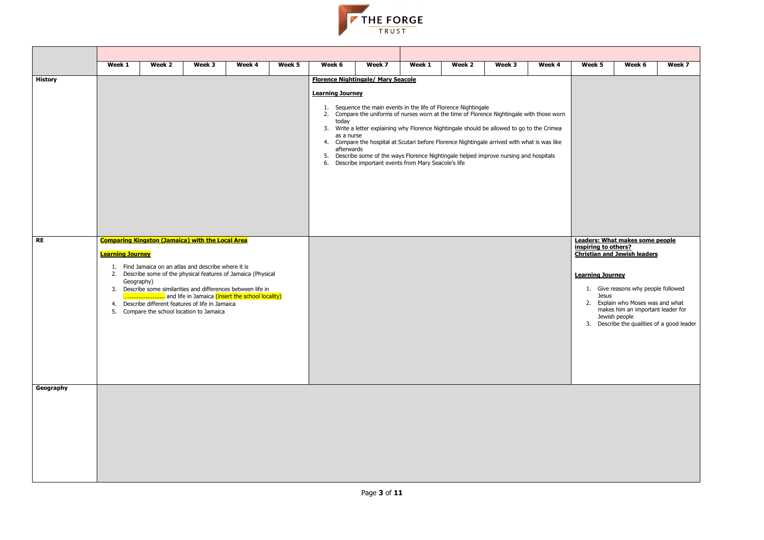

|                | Week 1                  | Week 2 | Week 3                                                                                         | Week 4 | Week 5 | Week 6                                    | Week 7                                                                                                                                                        | Week 1 | Week 2 | Week 3 | Week 4 | Week 5                  | Week 6                                                                 | Week 7 |
|----------------|-------------------------|--------|------------------------------------------------------------------------------------------------|--------|--------|-------------------------------------------|---------------------------------------------------------------------------------------------------------------------------------------------------------------|--------|--------|--------|--------|-------------------------|------------------------------------------------------------------------|--------|
| <b>History</b> |                         |        |                                                                                                |        |        | <b>Florence Nightingale/ Mary Seacole</b> |                                                                                                                                                               |        |        |        |        |                         |                                                                        |        |
|                |                         |        |                                                                                                |        |        | <b>Learning Journey</b>                   |                                                                                                                                                               |        |        |        |        |                         |                                                                        |        |
|                |                         |        |                                                                                                |        |        |                                           | 1. Sequence the main events in the life of Florence Nightingale<br>2. Compare the uniforms of nurses worn at the time of Florence Nightingale with those worn |        |        |        |        |                         |                                                                        |        |
|                |                         |        |                                                                                                |        |        | today                                     | 3. Write a letter explaining why Florence Nightingale should be allowed to go to the Crimea                                                                   |        |        |        |        |                         |                                                                        |        |
|                |                         |        |                                                                                                |        |        | as a nurse                                | 4. Compare the hospital at Scutari before Florence Nightingale arrived with what is was like                                                                  |        |        |        |        |                         |                                                                        |        |
|                |                         |        |                                                                                                |        |        | afterwards                                | 5. Describe some of the ways Florence Nightingale helped improve nursing and hospitals                                                                        |        |        |        |        |                         |                                                                        |        |
|                |                         |        |                                                                                                |        |        |                                           | 6. Describe important events from Mary Seacole's life                                                                                                         |        |        |        |        |                         |                                                                        |        |
|                |                         |        |                                                                                                |        |        |                                           |                                                                                                                                                               |        |        |        |        |                         |                                                                        |        |
|                |                         |        |                                                                                                |        |        |                                           |                                                                                                                                                               |        |        |        |        |                         |                                                                        |        |
|                |                         |        |                                                                                                |        |        |                                           |                                                                                                                                                               |        |        |        |        |                         |                                                                        |        |
|                |                         |        |                                                                                                |        |        |                                           |                                                                                                                                                               |        |        |        |        |                         |                                                                        |        |
| <b>RE</b>      |                         |        | <b>Comparing Kingston (Jamaica) with the Local Area</b>                                        |        |        |                                           |                                                                                                                                                               |        |        |        |        |                         | Leaders: What makes some people                                        |        |
|                | <b>Learning Journey</b> |        |                                                                                                |        |        |                                           |                                                                                                                                                               |        |        |        |        | inspiring to others?    | <b>Christian and Jewish leaders</b>                                    |        |
|                |                         |        | 1. Find Jamaica on an atlas and describe where it is                                           |        |        |                                           |                                                                                                                                                               |        |        |        |        |                         |                                                                        |        |
|                | Geography)              |        | 2. Describe some of the physical features of Jamaica (Physical                                 |        |        |                                           |                                                                                                                                                               |        |        |        |        | <b>Learning Journey</b> |                                                                        |        |
|                |                         |        | 3. Describe some similarities and differences between life in                                  |        |        |                                           |                                                                                                                                                               |        |        |        |        | <b>Jesus</b>            | 1. Give reasons why people followed                                    |        |
|                |                         |        | 4. Describe different features of life in Jamaica<br>5. Compare the school location to Jamaica |        |        |                                           |                                                                                                                                                               |        |        |        |        |                         | 2. Explain who Moses was and what<br>makes him an important leader for |        |
|                |                         |        |                                                                                                |        |        |                                           |                                                                                                                                                               |        |        |        |        |                         | Jewish people<br>3. Describe the qualities of a good leader            |        |
|                |                         |        |                                                                                                |        |        |                                           |                                                                                                                                                               |        |        |        |        |                         |                                                                        |        |
|                |                         |        |                                                                                                |        |        |                                           |                                                                                                                                                               |        |        |        |        |                         |                                                                        |        |
|                |                         |        |                                                                                                |        |        |                                           |                                                                                                                                                               |        |        |        |        |                         |                                                                        |        |
|                |                         |        |                                                                                                |        |        |                                           |                                                                                                                                                               |        |        |        |        |                         |                                                                        |        |
| Geography      |                         |        |                                                                                                |        |        |                                           |                                                                                                                                                               |        |        |        |        |                         |                                                                        |        |
|                |                         |        |                                                                                                |        |        |                                           |                                                                                                                                                               |        |        |        |        |                         |                                                                        |        |
|                |                         |        |                                                                                                |        |        |                                           |                                                                                                                                                               |        |        |        |        |                         |                                                                        |        |
|                |                         |        |                                                                                                |        |        |                                           |                                                                                                                                                               |        |        |        |        |                         |                                                                        |        |
|                |                         |        |                                                                                                |        |        |                                           |                                                                                                                                                               |        |        |        |        |                         |                                                                        |        |
|                |                         |        |                                                                                                |        |        |                                           |                                                                                                                                                               |        |        |        |        |                         |                                                                        |        |
|                |                         |        |                                                                                                |        |        |                                           |                                                                                                                                                               |        |        |        |        |                         |                                                                        |        |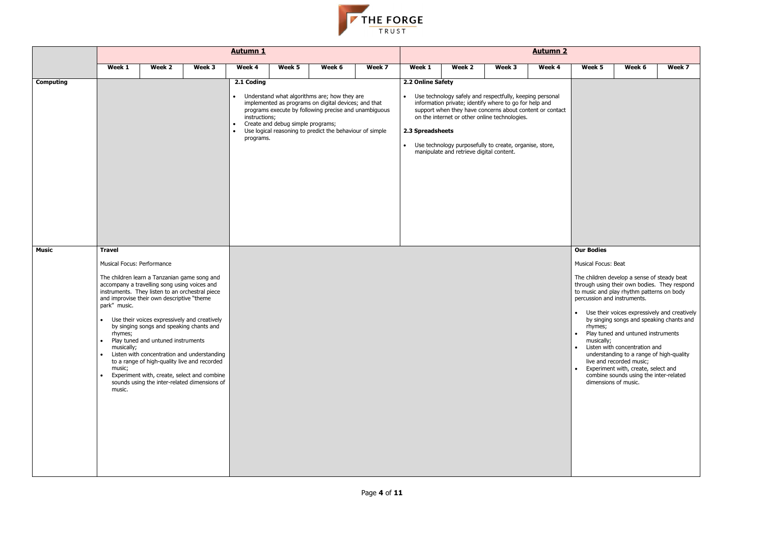

|                  |                                                                                                          |                                                                                                                                                                                                                                                                                 |                                                                                                                                                                                                                                            | <b>Autumn 1</b>                          |                                   |                                                                                                                                                                                                                           |        | <b>Autumn 2</b>                                                 |                                          |                                                                                                                                                                                                                                                                                            |        |                                                                                                  |                                                                                                                                                                                                                                                                                                                                                                                                                                                                                              |        |  |
|------------------|----------------------------------------------------------------------------------------------------------|---------------------------------------------------------------------------------------------------------------------------------------------------------------------------------------------------------------------------------------------------------------------------------|--------------------------------------------------------------------------------------------------------------------------------------------------------------------------------------------------------------------------------------------|------------------------------------------|-----------------------------------|---------------------------------------------------------------------------------------------------------------------------------------------------------------------------------------------------------------------------|--------|-----------------------------------------------------------------|------------------------------------------|--------------------------------------------------------------------------------------------------------------------------------------------------------------------------------------------------------------------------------------------------------------------------------------------|--------|--------------------------------------------------------------------------------------------------|----------------------------------------------------------------------------------------------------------------------------------------------------------------------------------------------------------------------------------------------------------------------------------------------------------------------------------------------------------------------------------------------------------------------------------------------------------------------------------------------|--------|--|
|                  | Week 1                                                                                                   | Week 2                                                                                                                                                                                                                                                                          | Week 3                                                                                                                                                                                                                                     | Week 4                                   | Week 5                            | Week 6                                                                                                                                                                                                                    | Week 7 | Week 1                                                          | Week 2                                   | Week 3                                                                                                                                                                                                                                                                                     | Week 4 | Week 5                                                                                           | Week 6                                                                                                                                                                                                                                                                                                                                                                                                                                                                                       | Week 7 |  |
| <b>Computing</b> |                                                                                                          |                                                                                                                                                                                                                                                                                 |                                                                                                                                                                                                                                            | 2.1 Coding<br>instructions;<br>programs. | Create and debug simple programs; | Understand what algorithms are; how they are<br>implemented as programs on digital devices; and that<br>programs execute by following precise and unambiguous<br>Use logical reasoning to predict the behaviour of simple |        | 2.2 Online Safety<br>$\bullet$<br>2.3 Spreadsheets<br>$\bullet$ | manipulate and retrieve digital content. | Use technology safely and respectfully, keeping personal<br>information private; identify where to go for help and<br>support when they have concerns about content or contact<br>on the internet or other online technologies.<br>Use technology purposefully to create, organise, store, |        |                                                                                                  |                                                                                                                                                                                                                                                                                                                                                                                                                                                                                              |        |  |
| <b>Music</b>     | <b>Travel</b><br>Musical Focus: Performance<br>park" music.<br>rnymes;<br>musically;<br>music;<br>music. | The children learn a Tanzanian game song and<br>accompany a travelling song using voices and<br>instruments. They listen to an orchestral piece<br>and improvise their own descriptive "theme<br>by singing songs and speaking chants and<br>Play tuned and untuned instruments | Use their voices expressively and creatively<br>Listen with concentration and understanding<br>to a range of high-quality live and recorded<br>Experiment with, create, select and combine<br>sounds using the inter-related dimensions of |                                          |                                   |                                                                                                                                                                                                                           |        |                                                                 |                                          |                                                                                                                                                                                                                                                                                            |        | <b>Our Bodies</b><br>Musical Focus: Beat<br>percussion and instruments.<br>rhymes;<br>musically; | The children develop a sense of steady beat<br>through using their own bodies. They respo<br>to music and play rhythm patterns on body<br>• Use their voices expressively and creativ<br>by singing songs and speaking chants ar<br>• Play tuned and untuned instruments<br>• Listen with concentration and<br>understanding to a range of high-quality<br>live and recorded music;<br>Experiment with, create, select and<br>combine sounds using the inter-related<br>dimensions of music. |        |  |

| Week 5               | Week 6                                                                                                                                                                  | Week 7 |
|----------------------|-------------------------------------------------------------------------------------------------------------------------------------------------------------------------|--------|
|                      |                                                                                                                                                                         |        |
|                      |                                                                                                                                                                         |        |
|                      |                                                                                                                                                                         |        |
|                      |                                                                                                                                                                         |        |
|                      |                                                                                                                                                                         |        |
|                      |                                                                                                                                                                         |        |
|                      |                                                                                                                                                                         |        |
|                      |                                                                                                                                                                         |        |
|                      |                                                                                                                                                                         |        |
|                      |                                                                                                                                                                         |        |
|                      |                                                                                                                                                                         |        |
|                      |                                                                                                                                                                         |        |
| <b>Our Bodies</b>    |                                                                                                                                                                         |        |
| Musical Focus: Beat  |                                                                                                                                                                         |        |
|                      | The children develop a sense of steady beat<br>through using their own bodies. They respond<br>to music and play rhythm patterns on body<br>percussion and instruments. |        |
|                      | Use their voices expressively and creatively                                                                                                                            |        |
| rhymes;              | by singing songs and speaking chants and                                                                                                                                |        |
| musically;           | Play tuned and untuned instruments                                                                                                                                      |        |
|                      | Listen with concentration and<br>understanding to a range of high-quality                                                                                               |        |
|                      | live and recorded music;<br>Experiment with, create, select and                                                                                                         |        |
| dimensions of music. | combine sounds using the inter-related                                                                                                                                  |        |
|                      |                                                                                                                                                                         |        |
|                      |                                                                                                                                                                         |        |
|                      |                                                                                                                                                                         |        |
|                      |                                                                                                                                                                         |        |
|                      |                                                                                                                                                                         |        |
|                      |                                                                                                                                                                         |        |
|                      |                                                                                                                                                                         |        |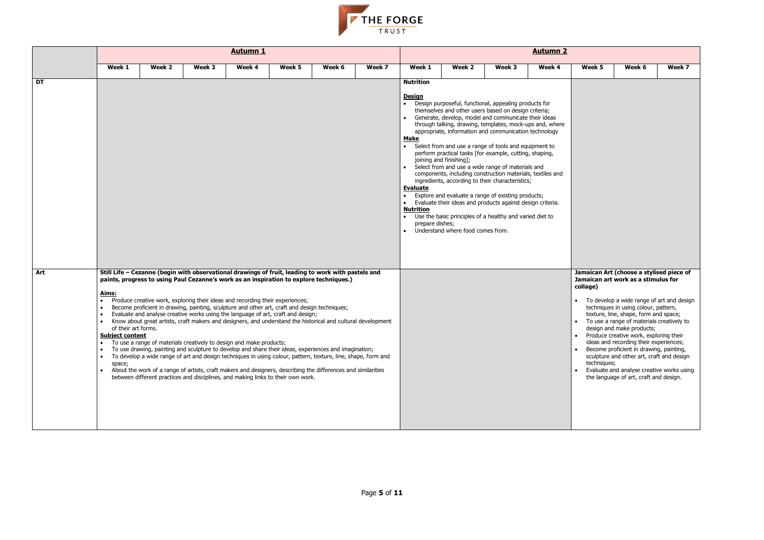

|           |                                                                         |        |        | <u>Autumn 1</u>                                                                                                                                      |                                                                                                                                                                                                                                                                                                                                                                  |                                                                                                                                                                                                                                                                                                                                                                                                                                                                                                                                                               |        | <b>Autumn 2</b> |                                                                                                                                                                                                                                                                                                                                                                                                                                                                                                                                                                                                                                                                                                                                                                                                                                                          |        |        |                         |                                                                                                                                                                                                                                                                                                                                                                                                                                                                                                                                                             |        |  |
|-----------|-------------------------------------------------------------------------|--------|--------|------------------------------------------------------------------------------------------------------------------------------------------------------|------------------------------------------------------------------------------------------------------------------------------------------------------------------------------------------------------------------------------------------------------------------------------------------------------------------------------------------------------------------|---------------------------------------------------------------------------------------------------------------------------------------------------------------------------------------------------------------------------------------------------------------------------------------------------------------------------------------------------------------------------------------------------------------------------------------------------------------------------------------------------------------------------------------------------------------|--------|-----------------|----------------------------------------------------------------------------------------------------------------------------------------------------------------------------------------------------------------------------------------------------------------------------------------------------------------------------------------------------------------------------------------------------------------------------------------------------------------------------------------------------------------------------------------------------------------------------------------------------------------------------------------------------------------------------------------------------------------------------------------------------------------------------------------------------------------------------------------------------------|--------|--------|-------------------------|-------------------------------------------------------------------------------------------------------------------------------------------------------------------------------------------------------------------------------------------------------------------------------------------------------------------------------------------------------------------------------------------------------------------------------------------------------------------------------------------------------------------------------------------------------------|--------|--|
|           | Week 1                                                                  | Week 2 | Week 3 | Week 4                                                                                                                                               | Week 5                                                                                                                                                                                                                                                                                                                                                           | Week 6                                                                                                                                                                                                                                                                                                                                                                                                                                                                                                                                                        | Week 7 | Week 1          | Week 2                                                                                                                                                                                                                                                                                                                                                                                                                                                                                                                                                                                                                                                                                                                                                                                                                                                   | Week 3 | Week 4 | Week 5                  | Week 6                                                                                                                                                                                                                                                                                                                                                                                                                                                                                                                                                      | Week 7 |  |
| <b>DT</b> |                                                                         |        |        |                                                                                                                                                      |                                                                                                                                                                                                                                                                                                                                                                  |                                                                                                                                                                                                                                                                                                                                                                                                                                                                                                                                                               |        |                 | Design purposeful, functional, appealing products for<br>themselves and other users based on design criteria;<br>Generate, develop, model and communicate their ideas<br>through talking, drawing, templates, mock-ups and, where<br>appropriate, information and communication technology<br>Select from and use a range of tools and equipment to<br>perform practical tasks [for example, cutting, shaping,<br>joining and finishing];<br>Select from and use a wide range of materials and<br>components, including construction materials, textiles and<br>ingredients, according to their characteristics;<br>Explore and evaluate a range of existing products;<br>Evaluate their ideas and products against design criteria.<br>Use the basic principles of a healthy and varied diet to<br>prepare dishes;<br>Understand where food comes from. |        |        |                         |                                                                                                                                                                                                                                                                                                                                                                                                                                                                                                                                                             |        |  |
| Art       | <u>Aims:</u><br>of their art forms.<br><b>Subject content</b><br>space; |        |        | Produce creative work, exploring their ideas and recording their experiences;<br>To use a range of materials creatively to design and make products; | paints, progress to using Paul Cezanne's work as an inspiration to explore techniques.)<br>Become proficient in drawing, painting, sculpture and other art, craft and design techniques;<br>Evaluate and analyse creative works using the language of art, craft and design;<br>between different practices and disciplines, and making links to their own work. | Still Life - Cezanne (begin with observational drawings of fruit, leading to work with pastels and<br>Know about great artists, craft makers and designers, and understand the historical and cultural development<br>To use drawing, painting and sculpture to develop and share their ideas, experiences and imagination;<br>To develop a wide range of art and design techniques in using colour, pattern, texture, line, shape, form and<br>About the work of a range of artists, craft makers and designers, describing the differences and similarities |        |                 |                                                                                                                                                                                                                                                                                                                                                                                                                                                                                                                                                                                                                                                                                                                                                                                                                                                          |        |        | collage)<br>techniques; | Jamaican Art (choose a stylised piece o<br>Jamaican art work as a stimulus for<br>• To develop a wide range of art and desi-<br>techniques in using colour, pattern,<br>texture, line, shape, form and space;<br>To use a range of materials creatively to<br>design and make products;<br>• Produce creative work, exploring their<br>ideas and recording their experiences;<br>Become proficient in drawing, painting,<br>sculpture and other art, craft and design<br>Evaluate and analyse creative works usir<br>the language of art, craft and design. |        |  |

| Week 5      | Week 6                                                                                                                                                                  | Week 7 |
|-------------|-------------------------------------------------------------------------------------------------------------------------------------------------------------------------|--------|
|             |                                                                                                                                                                         |        |
| collage)    | Jamaican Art (choose a stylised piece of<br>Jamaican art work as a stimulus for                                                                                         |        |
|             | To develop a wide range of art and design<br>techniques in using colour, pattern,<br>texture, line, shape, form and space;<br>To use a range of materials creatively to |        |
|             | design and make products;<br>Produce creative work, exploring their                                                                                                     |        |
| techniques; | ideas and recording their experiences;<br>Become proficient in drawing, painting,<br>sculpture and other art, craft and design                                          |        |
|             | Evaluate and analyse creative works using<br>the language of art, craft and design.                                                                                     |        |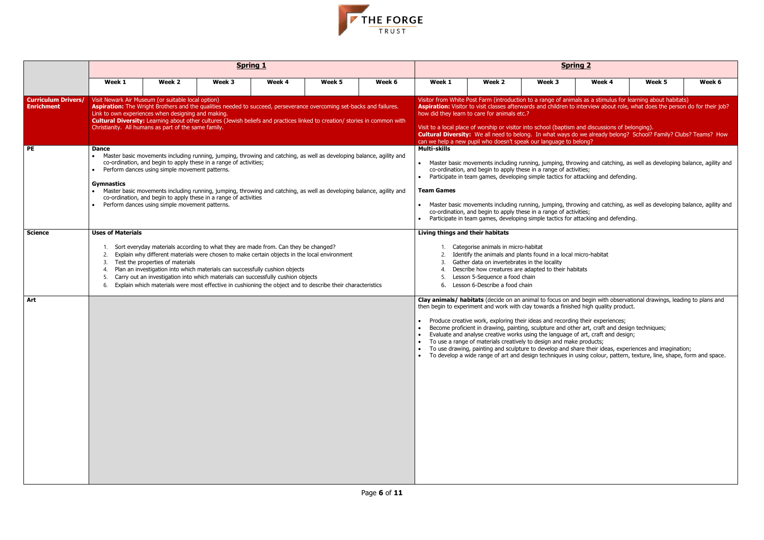| <u>ng 2</u>                              |                                                                                                                |        |  |
|------------------------------------------|----------------------------------------------------------------------------------------------------------------|--------|--|
| Week 4                                   | Week 5                                                                                                         | Week 6 |  |
|                                          | als as a stimulus for learning about habitats)<br>interview about role, what does the person do for their job? |        |  |
| and discussions of belonging).<br>elong? | o we already belong? School? Family? Clubs? Teams? How                                                         |        |  |
| ities;<br>ttacking and defending.        | wing and catching, as well as developing balance, agility and                                                  |        |  |
| ities;<br>ttacking and defending.        | wing and catching, as well as developing balance, agility and                                                  |        |  |
|                                          |                                                                                                                |        |  |
| nicro-habitat                            |                                                                                                                |        |  |
|                                          |                                                                                                                |        |  |



|                                                 |                                                               |                                                                                                                                                                  |                                                                                                                                                                                                                                                                                                                                                                                                                                                                     | <b>Spring 1</b> |        |        | <b>Spring 2</b>                                                                                                                                                                                                                                                                                                                                                                                                                                                                                                                                                                                              |                                              |                                                                                                                                                                                                                                                                                                                                                                                                                                   |        |                                                                                                                                                                                                                                                                                                                                                                |        |  |  |  |  |
|-------------------------------------------------|---------------------------------------------------------------|------------------------------------------------------------------------------------------------------------------------------------------------------------------|---------------------------------------------------------------------------------------------------------------------------------------------------------------------------------------------------------------------------------------------------------------------------------------------------------------------------------------------------------------------------------------------------------------------------------------------------------------------|-----------------|--------|--------|--------------------------------------------------------------------------------------------------------------------------------------------------------------------------------------------------------------------------------------------------------------------------------------------------------------------------------------------------------------------------------------------------------------------------------------------------------------------------------------------------------------------------------------------------------------------------------------------------------------|----------------------------------------------|-----------------------------------------------------------------------------------------------------------------------------------------------------------------------------------------------------------------------------------------------------------------------------------------------------------------------------------------------------------------------------------------------------------------------------------|--------|----------------------------------------------------------------------------------------------------------------------------------------------------------------------------------------------------------------------------------------------------------------------------------------------------------------------------------------------------------------|--------|--|--|--|--|
|                                                 | Week 1                                                        | Week 2                                                                                                                                                           | Week 3                                                                                                                                                                                                                                                                                                                                                                                                                                                              | Week 4          | Week 5 | Week 6 | Week 1                                                                                                                                                                                                                                                                                                                                                                                                                                                                                                                                                                                                       | Week 2                                       | Week 3                                                                                                                                                                                                                                                                                                                                                                                                                            | Week 4 | Week 5                                                                                                                                                                                                                                                                                                                                                         | Week 6 |  |  |  |  |
| <b>Curriculum Drivers/</b><br><b>Enrichment</b> |                                                               | Visit Newark Air Museum (or suitable local option)<br>Link to own experiences when designing and making.<br>Christianity. All humans as part of the same family. | Aspiration: The Wright Brothers and the qualities needed to succeed, perseverance overcoming set-backs and failures.<br>Cultural Diversity: Learning about other cultures (Jewish beliefs and practices linked to creation/ stories in common with                                                                                                                                                                                                                  |                 |        |        |                                                                                                                                                                                                                                                                                                                                                                                                                                                                                                                                                                                                              | how did they learn to care for animals etc.? | Visit to a local place of worship or visitor into school (baptism and discussions of belonging).<br>can we help a new pupil who doesn't speak our language to belong?                                                                                                                                                                                                                                                             |        | Visitor from White Post Farm (introduction to a range of animals as a stimulus for learning about habitats)<br>Aspiration: Visitor to visit classes afterwards and children to interview about role, what does the person do for their job?<br>Cultural Diversity: We all need to belong. In what ways do we already belong? School? Family? Clubs? Teams? How |        |  |  |  |  |
| PE                                              | <b>Dance</b><br>$\bullet$<br><b>Gymnastics</b>                | Perform dances using simple movement patterns.<br>Perform dances using simple movement patterns.                                                                 | Master basic movements including running, jumping, throwing and catching, as well as developing balance, agility and<br>co-ordination, and begin to apply these in a range of activities;<br>Master basic movements including running, jumping, throwing and catching, as well as developing balance, agility and<br>co-ordination, and begin to apply these in a range of activities                                                                               |                 |        |        | <b>Multi-skills</b><br>Master basic movements including running, jumping, throwing and catching, as well as developing balance, agility and<br>co-ordination, and begin to apply these in a range of activities;<br>Participate in team games, developing simple tactics for attacking and defending.<br><b>Team Games</b><br>Master basic movements including running, jumping, throwing and catching, as well as developing balance, agility and<br>co-ordination, and begin to apply these in a range of activities;<br>Participate in team games, developing simple tactics for attacking and defending. |                                              |                                                                                                                                                                                                                                                                                                                                                                                                                                   |        |                                                                                                                                                                                                                                                                                                                                                                |        |  |  |  |  |
| <b>Science</b><br><b>Art</b>                    | <b>Uses of Materials</b><br>3.<br>$\overline{4}$<br>-5.<br>6. | Test the properties of materials                                                                                                                                 | Sort everyday materials according to what they are made from. Can they be changed?<br>Explain why different materials were chosen to make certain objects in the local environment<br>Plan an investigation into which materials can successfully cushion objects<br>Carry out an investigation into which materials can successfully cushion objects<br>Explain which materials were most effective in cushioning the object and to describe their characteristics |                 |        |        | Living things and their habitats<br>Categorise animals in micro-habitat<br>Identify the animals and plants found in a local micro-habitat<br>Gather data on invertebrates in the locality<br>Describe how creatures are adapted to their habitats<br>Lesson 5-Sequence a food chain<br>6. Lesson 6-Describe a food chain<br>Clay animals/ habitats (decide on an animal to focus on and begin with observational drawings, leading to plans and                                                                                                                                                              |                                              |                                                                                                                                                                                                                                                                                                                                                                                                                                   |        |                                                                                                                                                                                                                                                                                                                                                                |        |  |  |  |  |
|                                                 |                                                               |                                                                                                                                                                  |                                                                                                                                                                                                                                                                                                                                                                                                                                                                     |                 |        |        |                                                                                                                                                                                                                                                                                                                                                                                                                                                                                                                                                                                                              |                                              | then begin to experiment and work with clay towards a finished high quality product.<br>Produce creative work, exploring their ideas and recording their experiences;<br>Become proficient in drawing, painting, sculpture and other art, craft and design techniques;<br>Evaluate and analyse creative works using the language of art, craft and design;<br>To use a range of materials creatively to design and make products; |        | To use drawing, painting and sculpture to develop and share their ideas, experiences and imagination;<br>To develop a wide range of art and design techniques in using colour, pattern, texture, line, shape, form and space.                                                                                                                                  |        |  |  |  |  |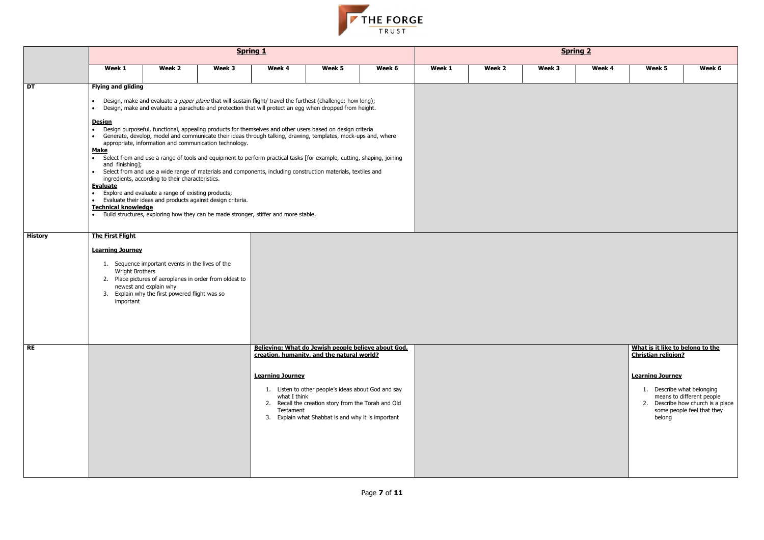

|                          |                                                                                                                                                                                   |                                                                                                                              | <b>Spring 1</b>                                                                                                                                                                                                                                                                                                                                                                                                                                                                                                                                                                                                                                                                                                                                                                                                                                                                                                      |                                                                                                                                                           |                                                                                                                                                                  |        | <b>Spring 2</b> |        |        |        |                                                                                                                                   |                                                                                              |  |  |  |
|--------------------------|-----------------------------------------------------------------------------------------------------------------------------------------------------------------------------------|------------------------------------------------------------------------------------------------------------------------------|----------------------------------------------------------------------------------------------------------------------------------------------------------------------------------------------------------------------------------------------------------------------------------------------------------------------------------------------------------------------------------------------------------------------------------------------------------------------------------------------------------------------------------------------------------------------------------------------------------------------------------------------------------------------------------------------------------------------------------------------------------------------------------------------------------------------------------------------------------------------------------------------------------------------|-----------------------------------------------------------------------------------------------------------------------------------------------------------|------------------------------------------------------------------------------------------------------------------------------------------------------------------|--------|-----------------|--------|--------|--------|-----------------------------------------------------------------------------------------------------------------------------------|----------------------------------------------------------------------------------------------|--|--|--|
|                          | Week 1                                                                                                                                                                            | Week 2                                                                                                                       | Week 3                                                                                                                                                                                                                                                                                                                                                                                                                                                                                                                                                                                                                                                                                                                                                                                                                                                                                                               | Week 4                                                                                                                                                    | Week 5                                                                                                                                                           | Week 6 | Week 1          | Week 2 | Week 3 | Week 4 | Week 5                                                                                                                            | Week 6                                                                                       |  |  |  |
| $\overline{\mathsf{DT}}$ | <b>Flying and gliding</b><br>$\bullet$<br><u>Design</u><br>$\bullet$<br><b>Make</b><br>and finishing];<br>$\bullet$<br><b>Evaluate</b><br>$\bullet$<br><b>Technical knowledge</b> | ingredients, according to their characteristics.<br>Explore and evaluate a range of existing products;                       | Design, make and evaluate a <i>paper plane</i> that will sustain flight/ travel the furthest (challenge: how long);<br>Design, make and evaluate a parachute and protection that will protect an egg when dropped from height.<br>Design purposeful, functional, appealing products for themselves and other users based on design criteria<br>Generate, develop, model and communicate their ideas through talking, drawing, templates, mock-ups and, where<br>appropriate, information and communication technology.<br>Select from and use a range of tools and equipment to perform practical tasks [for example, cutting, shaping, joining<br>Select from and use a wide range of materials and components, including construction materials, textiles and<br>Evaluate their ideas and products against design criteria.<br>Build structures, exploring how they can be made stronger, stiffer and more stable. |                                                                                                                                                           |                                                                                                                                                                  |        |                 |        |        |        |                                                                                                                                   |                                                                                              |  |  |  |
| <b>History</b>           | <b>The First Flight</b><br><b>Learning Journey</b><br><b>Wright Brothers</b><br>important                                                                                         | 1. Sequence important events in the lives of the<br>newest and explain why<br>3. Explain why the first powered flight was so | 2. Place pictures of aeroplanes in order from oldest to                                                                                                                                                                                                                                                                                                                                                                                                                                                                                                                                                                                                                                                                                                                                                                                                                                                              |                                                                                                                                                           |                                                                                                                                                                  |        |                 |        |        |        |                                                                                                                                   |                                                                                              |  |  |  |
| $R_{\text{E}}$           |                                                                                                                                                                                   |                                                                                                                              |                                                                                                                                                                                                                                                                                                                                                                                                                                                                                                                                                                                                                                                                                                                                                                                                                                                                                                                      | Believing: What do Jewish people believe about God,<br>creation, humanity, and the natural world?<br><b>Learning Journey</b><br>what I think<br>Testament | 1. Listen to other people's ideas about God and say<br>2. Recall the creation story from the Torah and Old<br>3. Explain what Shabbat is and why it is important |        |                 |        |        |        | What is it like to belong to the<br><b>Christian religion?</b><br><b>Learning Journey</b><br>1. Describe what belonging<br>belong | means to different people<br>2. Describe how church is a place<br>some people feel that they |  |  |  |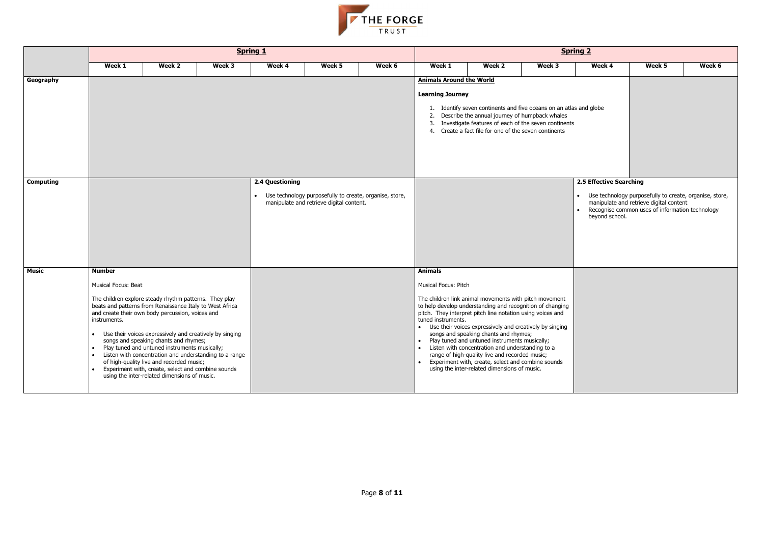- 
- 



|                  |                                                                                                                                                                                                                                |                                                                                                                                                                                                                                                                                                                                                               | <b>Spring 1</b> |                              |                                                                                                     |        | <b>Spring 2</b>                                                                        |                                                                                                                                                                                                                                                                                                                                                                                                                                                                                                                                                      |        |                                           |                                                                                                                                                         |        |  |  |
|------------------|--------------------------------------------------------------------------------------------------------------------------------------------------------------------------------------------------------------------------------|---------------------------------------------------------------------------------------------------------------------------------------------------------------------------------------------------------------------------------------------------------------------------------------------------------------------------------------------------------------|-----------------|------------------------------|-----------------------------------------------------------------------------------------------------|--------|----------------------------------------------------------------------------------------|------------------------------------------------------------------------------------------------------------------------------------------------------------------------------------------------------------------------------------------------------------------------------------------------------------------------------------------------------------------------------------------------------------------------------------------------------------------------------------------------------------------------------------------------------|--------|-------------------------------------------|---------------------------------------------------------------------------------------------------------------------------------------------------------|--------|--|--|
|                  | Week 1                                                                                                                                                                                                                         | Week 2                                                                                                                                                                                                                                                                                                                                                        | Week 3          | Week 4                       | Week 5                                                                                              | Week 6 | Week 1                                                                                 | Week 2                                                                                                                                                                                                                                                                                                                                                                                                                                                                                                                                               | Week 3 | Week 4                                    | Week 5                                                                                                                                                  | Week 6 |  |  |
| Geography        |                                                                                                                                                                                                                                |                                                                                                                                                                                                                                                                                                                                                               |                 |                              |                                                                                                     |        | <b>Animals Around the World</b><br><b>Learning Journey</b>                             | 1. Identify seven continents and five oceans on an atlas and globe<br>2. Describe the annual journey of humpback whales<br>3. Investigate features of each of the seven continents<br>4. Create a fact file for one of the seven continents                                                                                                                                                                                                                                                                                                          |        |                                           |                                                                                                                                                         |        |  |  |
| <b>Computing</b> |                                                                                                                                                                                                                                |                                                                                                                                                                                                                                                                                                                                                               |                 | 2.4 Questioning<br>$\bullet$ | Use technology purposefully to create, organise, store,<br>manipulate and retrieve digital content. |        |                                                                                        |                                                                                                                                                                                                                                                                                                                                                                                                                                                                                                                                                      |        | 2.5 Effective Searching<br>beyond school. | Use technology purposefully to create, organise, store,<br>manipulate and retrieve digital content<br>• Recognise common uses of information technology |        |  |  |
| <b>Music</b>     | <b>Number</b><br>Musical Focus: Beat<br>The children explore steady rhythm patterns. They play<br>beats and patterns from Renaissance Italy to West Africa<br>and create their own body percussion, voices and<br>instruments. | Use their voices expressively and creatively by singing<br>songs and speaking chants and rhymes;<br>Play tuned and untuned instruments musically;<br>Listen with concentration and understanding to a range<br>of high-quality live and recorded music;<br>Experiment with, create, select and combine sounds<br>using the inter-related dimensions of music. |                 |                              |                                                                                                     |        | <b>Animals</b><br>Musical Focus: Pitch<br>tuned instruments.<br>$\bullet$<br>$\bullet$ | The children link animal movements with pitch movement<br>to help develop understanding and recognition of changing<br>pitch. They interpret pitch line notation using voices and<br>• Use their voices expressively and creatively by singing<br>songs and speaking chants and rhymes;<br>Play tuned and untuned instruments musically;<br>Listen with concentration and understanding to a<br>range of high-quality live and recorded music;<br>Experiment with, create, select and combine sounds<br>using the inter-related dimensions of music. |        |                                           |                                                                                                                                                         |        |  |  |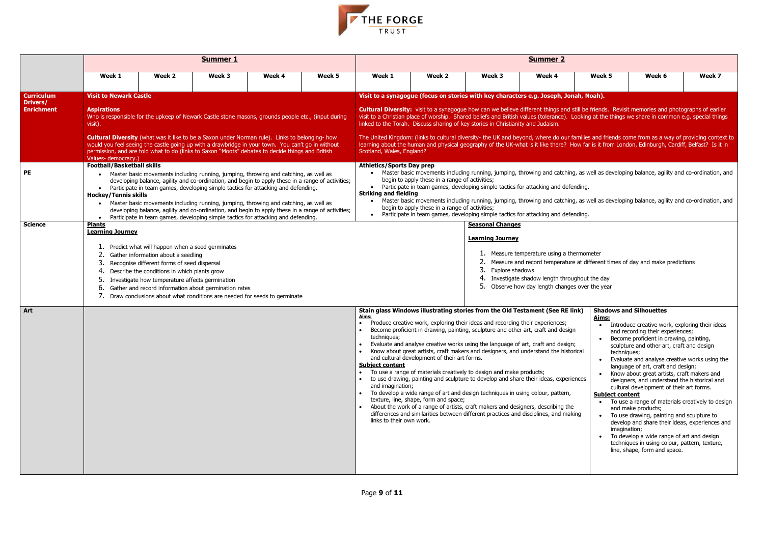

|                                                                        |                                                                                                                                                                       |                                                                                                                                                                                                                                          | <b>Summer 1</b>                                                                                                                                                                                                                                                                                                                                                                                                                                                                                                                                                                                                                                                                                                                                                                                     |        |        | <b>Summer 2</b>                                                                                                                                                                                                                                                                                                                                                                                                                                                                                                                                                                                                                                                                                                                                                                                                                                                                                                                                                                                                                                                                                                                                                                                                                                                                                                                                                               |                                                                                       |                                                                                                                                                                                                                                                                                                                                                                                                                                                                                                                                                                                                                                                                                                                                                                                                                                                             |                                                                                                                                            |                                                                                                                              |                                                                                                                                                                                                                                                                                                                                                                                                                                                                                                                                                                                                                                                                                                                                                                      |        |  |  |  |
|------------------------------------------------------------------------|-----------------------------------------------------------------------------------------------------------------------------------------------------------------------|------------------------------------------------------------------------------------------------------------------------------------------------------------------------------------------------------------------------------------------|-----------------------------------------------------------------------------------------------------------------------------------------------------------------------------------------------------------------------------------------------------------------------------------------------------------------------------------------------------------------------------------------------------------------------------------------------------------------------------------------------------------------------------------------------------------------------------------------------------------------------------------------------------------------------------------------------------------------------------------------------------------------------------------------------------|--------|--------|-------------------------------------------------------------------------------------------------------------------------------------------------------------------------------------------------------------------------------------------------------------------------------------------------------------------------------------------------------------------------------------------------------------------------------------------------------------------------------------------------------------------------------------------------------------------------------------------------------------------------------------------------------------------------------------------------------------------------------------------------------------------------------------------------------------------------------------------------------------------------------------------------------------------------------------------------------------------------------------------------------------------------------------------------------------------------------------------------------------------------------------------------------------------------------------------------------------------------------------------------------------------------------------------------------------------------------------------------------------------------------|---------------------------------------------------------------------------------------|-------------------------------------------------------------------------------------------------------------------------------------------------------------------------------------------------------------------------------------------------------------------------------------------------------------------------------------------------------------------------------------------------------------------------------------------------------------------------------------------------------------------------------------------------------------------------------------------------------------------------------------------------------------------------------------------------------------------------------------------------------------------------------------------------------------------------------------------------------------|--------------------------------------------------------------------------------------------------------------------------------------------|------------------------------------------------------------------------------------------------------------------------------|----------------------------------------------------------------------------------------------------------------------------------------------------------------------------------------------------------------------------------------------------------------------------------------------------------------------------------------------------------------------------------------------------------------------------------------------------------------------------------------------------------------------------------------------------------------------------------------------------------------------------------------------------------------------------------------------------------------------------------------------------------------------|--------|--|--|--|
|                                                                        | Week 1                                                                                                                                                                | Week 2                                                                                                                                                                                                                                   | Week 3                                                                                                                                                                                                                                                                                                                                                                                                                                                                                                                                                                                                                                                                                                                                                                                              | Week 4 | Week 5 | Week 1                                                                                                                                                                                                                                                                                                                                                                                                                                                                                                                                                                                                                                                                                                                                                                                                                                                                                                                                                                                                                                                                                                                                                                                                                                                                                                                                                                        | Week 2                                                                                | Week 3                                                                                                                                                                                                                                                                                                                                                                                                                                                                                                                                                                                                                                                                                                                                                                                                                                                      | Week 4                                                                                                                                     | Week 5                                                                                                                       | Week 6                                                                                                                                                                                                                                                                                                                                                                                                                                                                                                                                                                                                                                                                                                                                                               | Week 7 |  |  |  |
| <b>Curriculum</b><br><b>Drivers/</b><br><b>Enrichment</b><br><b>PE</b> | <b>Visit to Newark Castle</b><br><b>Aspirations</b><br>visit).<br>Values-democracy.)<br><b>Football/Basketball skills</b><br><b>Hockey/Tennis skills</b><br>$\bullet$ |                                                                                                                                                                                                                                          | Who is responsible for the upkeep of Newark Castle stone masons, grounds people etc., (input during<br><b>Cultural Diversity</b> (what was it like to be a Saxon under Norman rule). Links to belonging- how<br>would you feel seeing the castle going up with a drawbridge in your town. You can't go in without<br>permission, and are told what to do (links to Saxon "Moots" debates to decide things and British<br>• Master basic movements including running, jumping, throwing and catching, as well as<br>developing balance, agility and co-ordination, and begin to apply these in a range of activities;<br>• Participate in team games, developing simple tactics for attacking and defending.<br>Master basic movements including running, jumping, throwing and catching, as well as |        |        | Visit to a synagogue (focus on stories with key characters e.g. Joseph, Jonah, Noah).<br>Cultural Diversity: visit to a synagogue how can we believe different things and still be friends. Revisit memories and photographs of earlier<br>visit to a Christian place of worship. Shared beliefs and British values (tolerance). Looking at the things we share in common e.g. special things<br>linked to the Torah. Discuss sharing of key stories in Christianity and Judaism.<br>The United Kingdom: (links to cultural diversity- the UK and beyond, where do our families and friends come from as a way of providing context to<br>learning about the human and physical geography of the UK-what is it like there? How far is it from London, Edinburgh, Cardiff, Belfast? Is it in<br>Scotland, Wales, England?<br><b>Athletics/Sports Day prep</b><br>• Master basic movements including running, jumping, throwing and catching, as well as developing balance, agility and co-ordination, and<br>begin to apply these in a range of activities;<br>Participate in team games, developing simple tactics for attacking and defending.<br><b>Striking and fielding</b><br>Master basic movements including running, jumping, throwing and catching, as well as developing balance, agility and co-ordination, and<br>begin to apply these in a range of activities; |                                                                                       |                                                                                                                                                                                                                                                                                                                                                                                                                                                                                                                                                                                                                                                                                                                                                                                                                                                             |                                                                                                                                            |                                                                                                                              |                                                                                                                                                                                                                                                                                                                                                                                                                                                                                                                                                                                                                                                                                                                                                                      |        |  |  |  |
| <b>Science</b>                                                         | $\bullet$<br><b>Plants</b><br><b>Learning Journey</b><br>3.<br>5.<br>6.                                                                                               | Predict what will happen when a seed germinates<br>Gather information about a seedling<br>Recognise different forms of seed dispersal<br>Describe the conditions in which plants grow<br>Investigate how temperature affects germination | developing balance, agility and co-ordination, and begin to apply these in a range of activities;<br>Participate in team games, developing simple tactics for attacking and defending.<br>Gather and record information about germination rates<br>Draw conclusions about what conditions are needed for seeds to germinate                                                                                                                                                                                                                                                                                                                                                                                                                                                                         |        |        |                                                                                                                                                                                                                                                                                                                                                                                                                                                                                                                                                                                                                                                                                                                                                                                                                                                                                                                                                                                                                                                                                                                                                                                                                                                                                                                                                                               |                                                                                       | Participate in team games, developing simple tactics for attacking and defending.<br><b>Seasonal Changes</b><br><b>Learning Journey</b><br>2.<br>3.<br>Explore shadows<br>4.<br>5.                                                                                                                                                                                                                                                                                                                                                                                                                                                                                                                                                                                                                                                                          | 1. Measure temperature using a thermometer<br>Investigate shadow length throughout the day<br>Observe how day length changes over the year |                                                                                                                              | Measure and record temperature at different times of day and make predictions                                                                                                                                                                                                                                                                                                                                                                                                                                                                                                                                                                                                                                                                                        |        |  |  |  |
| Art                                                                    |                                                                                                                                                                       |                                                                                                                                                                                                                                          |                                                                                                                                                                                                                                                                                                                                                                                                                                                                                                                                                                                                                                                                                                                                                                                                     |        |        | <u>Aims:</u><br>techniques;<br><b>Subject content</b><br>and imagination;<br>links to their own work.                                                                                                                                                                                                                                                                                                                                                                                                                                                                                                                                                                                                                                                                                                                                                                                                                                                                                                                                                                                                                                                                                                                                                                                                                                                                         | and cultural development of their art forms.<br>texture, line, shape, form and space; | Stain glass Windows illustrating stories from the Old Testament (See RE link)<br>Produce creative work, exploring their ideas and recording their experiences;<br>Become proficient in drawing, painting, sculpture and other art, craft and design<br>Evaluate and analyse creative works using the language of art, craft and design;<br>Know about great artists, craft makers and designers, and understand the historical<br>To use a range of materials creatively to design and make products;<br>to use drawing, painting and sculpture to develop and share their ideas, experiences<br>To develop a wide range of art and design techniques in using colour, pattern,<br>About the work of a range of artists, craft makers and designers, describing the<br>differences and similarities between different practices and disciplines, and making |                                                                                                                                            | Aims:<br>$\bullet$<br>techniques;<br>$\bullet$<br>$\bullet$<br><b>Subject content</b><br>$\bullet$<br>$\bullet$<br>$\bullet$ | <b>Shadows and Silhouettes</b><br>Introduce creative work, exploring their ideas<br>and recording their experiences;<br>Become proficient in drawing, painting,<br>sculpture and other art, craft and design<br>Evaluate and analyse creative works using the<br>language of art, craft and design;<br>Know about great artists, craft makers and<br>designers, and understand the historical and<br>cultural development of their art forms.<br>To use a range of materials creatively to design<br>and make products;<br>To use drawing, painting and sculpture to<br>develop and share their ideas, experiences and<br>imagination;<br>To develop a wide range of art and design<br>techniques in using colour, pattern, texture,<br>line, shape, form and space. |        |  |  |  |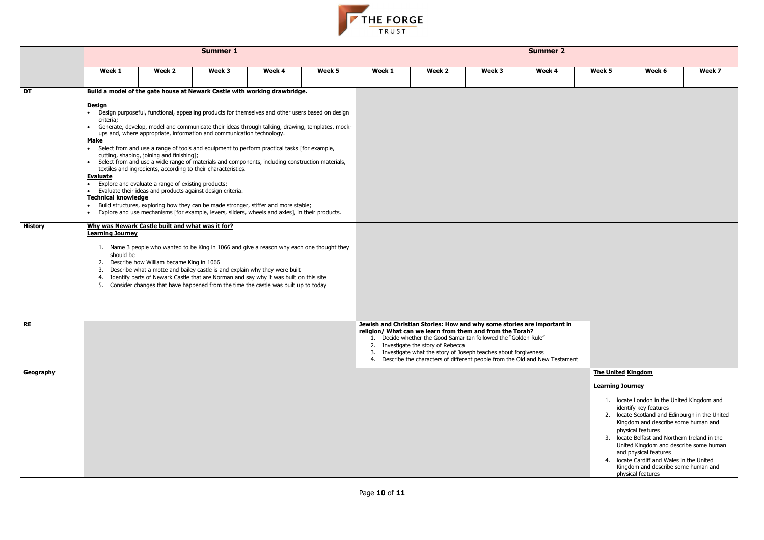

|                 | Summer 1                                                                                                                                                                                                                                                                                                                                                                                                                                                                                                                                                                                                                                                                                                                                                                                                                                                                                                                                                                                                                                              |        |        |        |        |        | <b>Summer 2</b>                                                                                                                                                                                                                                                                                                                                                                                      |        |        |                           |                                                                                                                                                                                                                                                                                                                                                                                                                |        |  |  |
|-----------------|-------------------------------------------------------------------------------------------------------------------------------------------------------------------------------------------------------------------------------------------------------------------------------------------------------------------------------------------------------------------------------------------------------------------------------------------------------------------------------------------------------------------------------------------------------------------------------------------------------------------------------------------------------------------------------------------------------------------------------------------------------------------------------------------------------------------------------------------------------------------------------------------------------------------------------------------------------------------------------------------------------------------------------------------------------|--------|--------|--------|--------|--------|------------------------------------------------------------------------------------------------------------------------------------------------------------------------------------------------------------------------------------------------------------------------------------------------------------------------------------------------------------------------------------------------------|--------|--------|---------------------------|----------------------------------------------------------------------------------------------------------------------------------------------------------------------------------------------------------------------------------------------------------------------------------------------------------------------------------------------------------------------------------------------------------------|--------|--|--|
|                 | Week 1                                                                                                                                                                                                                                                                                                                                                                                                                                                                                                                                                                                                                                                                                                                                                                                                                                                                                                                                                                                                                                                | Week 2 | Week 3 | Week 4 | Week 5 | Week 1 | Week 2                                                                                                                                                                                                                                                                                                                                                                                               | Week 3 | Week 4 | Week 5                    | Week 6                                                                                                                                                                                                                                                                                                                                                                                                         | Week 7 |  |  |
| $\overline{DT}$ | Build a model of the gate house at Newark Castle with working drawbridge.                                                                                                                                                                                                                                                                                                                                                                                                                                                                                                                                                                                                                                                                                                                                                                                                                                                                                                                                                                             |        |        |        |        |        |                                                                                                                                                                                                                                                                                                                                                                                                      |        |        |                           |                                                                                                                                                                                                                                                                                                                                                                                                                |        |  |  |
|                 | <b>Design</b><br>Design purposeful, functional, appealing products for themselves and other users based on design<br>criteria;<br>• Generate, develop, model and communicate their ideas through talking, drawing, templates, mock-<br>ups and, where appropriate, information and communication technology.<br><b>Make</b><br>• Select from and use a range of tools and equipment to perform practical tasks [for example,<br>cutting, shaping, joining and finishing];<br>• Select from and use a wide range of materials and components, including construction materials,<br>textiles and ingredients, according to their characteristics.<br><b>Evaluate</b><br>Explore and evaluate a range of existing products;<br>$\bullet$<br>Evaluate their ideas and products against design criteria.<br>$\bullet$<br><b>Technical knowledge</b><br>Build structures, exploring how they can be made stronger, stiffer and more stable;<br>Explore and use mechanisms [for example, levers, sliders, wheels and axles], in their products.<br>$\bullet$ |        |        |        |        |        |                                                                                                                                                                                                                                                                                                                                                                                                      |        |        |                           |                                                                                                                                                                                                                                                                                                                                                                                                                |        |  |  |
| <b>History</b>  | Why was Newark Castle built and what was it for?<br><b>Learning Journey</b><br>1. Name 3 people who wanted to be King in 1066 and give a reason why each one thought they<br>should be<br>2. Describe how William became King in 1066<br>Describe what a motte and bailey castle is and explain why they were built<br>Identify parts of Newark Castle that are Norman and say why it was built on this site<br>4.<br>5. Consider changes that have happened from the time the castle was built up to today                                                                                                                                                                                                                                                                                                                                                                                                                                                                                                                                           |        |        |        |        |        |                                                                                                                                                                                                                                                                                                                                                                                                      |        |        |                           |                                                                                                                                                                                                                                                                                                                                                                                                                |        |  |  |
| <b>RE</b>       |                                                                                                                                                                                                                                                                                                                                                                                                                                                                                                                                                                                                                                                                                                                                                                                                                                                                                                                                                                                                                                                       |        |        |        |        |        | Jewish and Christian Stories: How and why some stories are important in<br>religion/ What can we learn from them and from the Torah?<br>1. Decide whether the Good Samaritan followed the "Golden Rule"<br>2. Investigate the story of Rebecca<br>3. Investigate what the story of Joseph teaches about forgiveness<br>4. Describe the characters of different people from the Old and New Testament |        |        |                           |                                                                                                                                                                                                                                                                                                                                                                                                                |        |  |  |
| Geography       |                                                                                                                                                                                                                                                                                                                                                                                                                                                                                                                                                                                                                                                                                                                                                                                                                                                                                                                                                                                                                                                       |        |        |        |        |        |                                                                                                                                                                                                                                                                                                                                                                                                      |        |        | <b>The United Kingdom</b> |                                                                                                                                                                                                                                                                                                                                                                                                                |        |  |  |
|                 |                                                                                                                                                                                                                                                                                                                                                                                                                                                                                                                                                                                                                                                                                                                                                                                                                                                                                                                                                                                                                                                       |        |        |        |        |        |                                                                                                                                                                                                                                                                                                                                                                                                      |        |        | <b>Learning Journey</b>   |                                                                                                                                                                                                                                                                                                                                                                                                                |        |  |  |
|                 |                                                                                                                                                                                                                                                                                                                                                                                                                                                                                                                                                                                                                                                                                                                                                                                                                                                                                                                                                                                                                                                       |        |        |        |        |        |                                                                                                                                                                                                                                                                                                                                                                                                      |        |        |                           | 1. locate London in the United Kingdom and<br>identify key features<br>2. locate Scotland and Edinburgh in the United<br>Kingdom and describe some human and<br>physical features<br>3. locate Belfast and Northern Ireland in the<br>United Kingdom and describe some human<br>and physical features<br>4. locate Cardiff and Wales in the United<br>Kingdom and describe some human and<br>physical features |        |  |  |